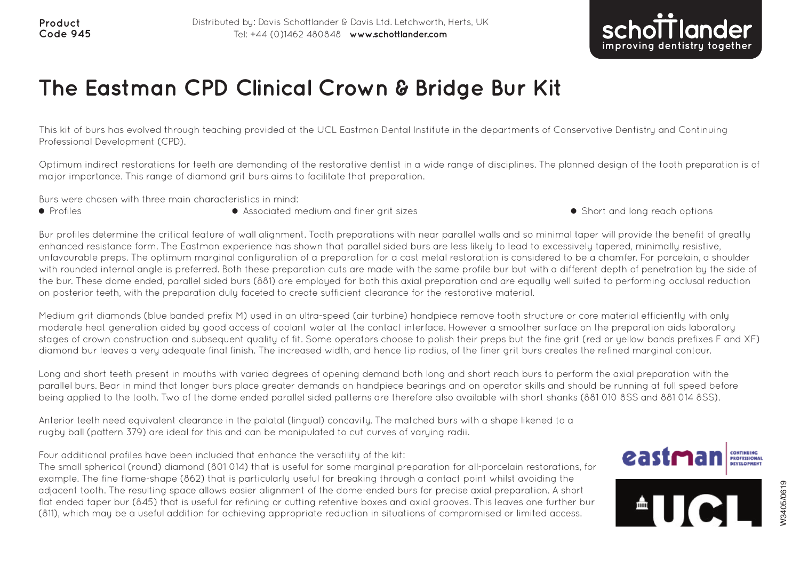

## **The Eastman CPD Clinical Crown &Bridge Bur Kit**

This kit of burs has evolved through teaching provided at the UCL Eastman Dental Institute in the departments of Conservative Dentistry and Continuing Professional Development (CPD).

Optimum indirect restorations for teeth are demanding of the restorative dentist in a wide range of disciplines. The planned design of the tooth preparation is of major importance. This range of diamond grit burs aims to facilitate that preparation.

Burs were chosen with three main characteristics in mind:

- Profiles **n Associated medium and finer arit sizes** n Short and long reach options **n Short and long reach options**
- 

Bur profiles determine the critical feature of wall alignment. Tooth preparations with near parallel walls and so minimal taper will provide the benefit of greatly enhanced resistance form. The Eastman experience has shown that parallel sided burs are less likely to lead to excessively tapered, minimally resistive, unfavourable preps. The optimum marginal configuration of a preparation for a cast metal restoration is considered to be a chamfer. For porcelain, a shoulder with rounded internal angle is preferred. Both these preparation cuts are made with the same profile bur but with a different depth of penetration by the side of the bur. These dome ended, parallel sided burs (881) are employed for both this axial preparation and are equally well suited to performing occlusal reduction on posterior teeth, with the preparation duly faceted to create sufficient clearance for the restorative material.

Medium grit diamonds (blue banded prefix M) used in an ultra-speed (air turbine) handpiece remove tooth structure or core material efficiently with only moderate heat generation aided by good access of coolant water at the contact interface. However a smoother surface on the preparation aids laboratory stages of crown construction and subsequent quality of fit. Some operators choose to polish their preps but the fine grit (red or yellow bands prefixes F and XF) diamond bur leaves a very adequate final finish. The increased width, and hence tip radius, of the finer grit burs creates the refined marginal contour.

Long and short teeth present in mouths with varied degrees of opening demand both long and short reach burs to perform the axial preparation with the parallel burs. Bear in mind that longer burs place greater demands on handpiece bearings and on operator skills and should be running at full speed before being applied to the tooth. Two of the dome ended parallel sided patterns are therefore also available with short shanks (881 010 8SS and 881 014 8SS).

Anterior teeth need equivalent clearance in the palatal (lingual) concavity. The matched burs with a shape likened to a rugby ball (pattern 379) are ideal for this and can be manipulated to cut curves of varying radii.

Four additional profiles have been included that enhance the versatility of the kit:

The small spherical (round) diamond (801 014) that is useful for some marginal preparation for all-porcelain restorations, for example. The fine flame-shape (862) that is particularly useful for breaking through a contact point whilst avoiding the adjacent tooth. The resulting space allows easier alignment of the dome-ended burs for precise axial preparation. A short flat ended taper bur (845) that is useful for refining or cutting retentive boxes and axial grooves. This leaves one further bur example to the The resulting space allows easier alignment of the dome-ended burs for precise axial preparation. A short flat ended taper bur (845) that is useful for refining or cutting retentive boxes and axial grooves.